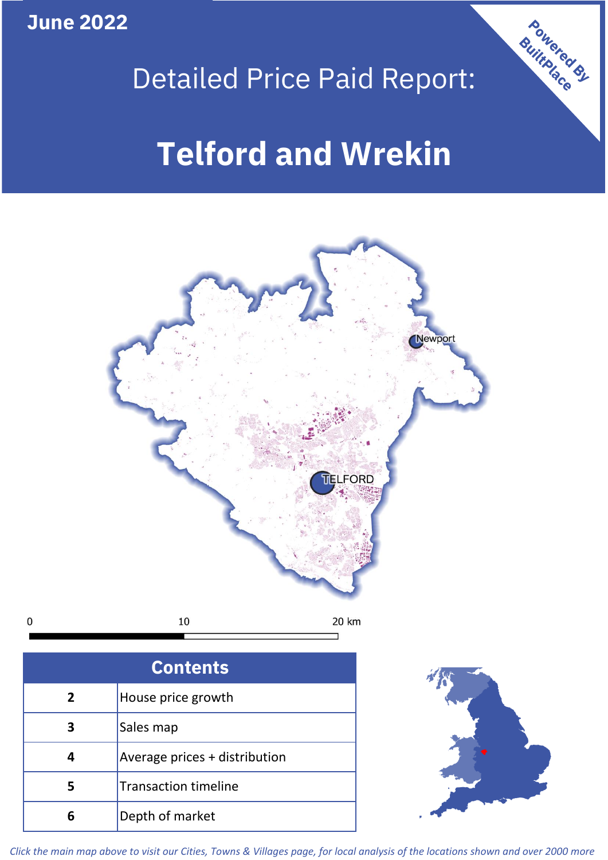**June 2022**

 $\mathbf 0$ 



## Detailed Price Paid Report:

# **Telford and Wrekin**



| <b>Contents</b> |                               |  |  |  |
|-----------------|-------------------------------|--|--|--|
| $\overline{2}$  | House price growth            |  |  |  |
|                 | Sales map                     |  |  |  |
|                 | Average prices + distribution |  |  |  |
|                 | <b>Transaction timeline</b>   |  |  |  |
|                 | Depth of market               |  |  |  |



*Click the main map above to visit our Cities, Towns & Villages page, for local analysis of the locations shown and over 2000 more*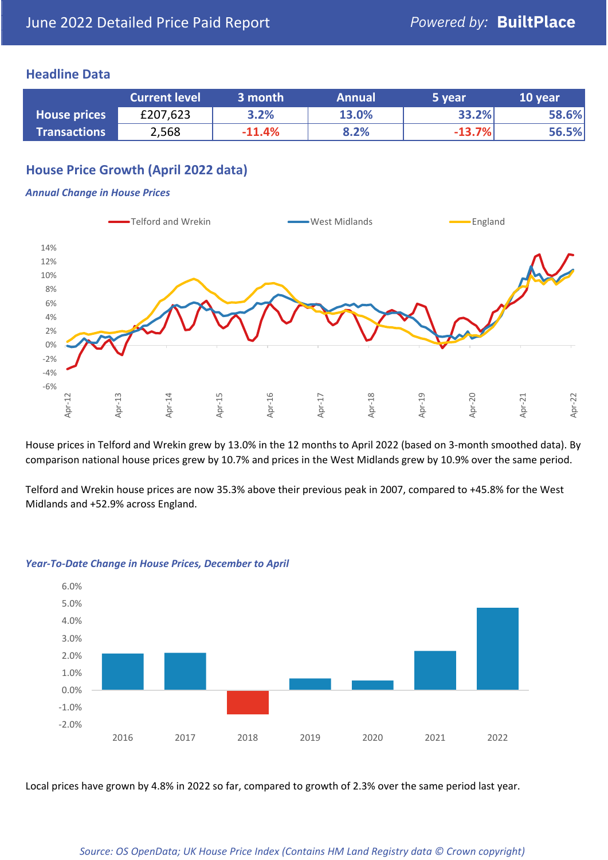## **Headline Data**

|                     | <b>Current level</b> | 3 month  | <b>Annual</b> | '5 year  | 10 year |
|---------------------|----------------------|----------|---------------|----------|---------|
| <b>House prices</b> | £207,623             | 3.2%     | 13.0%         | 33.2%    | 58.6%   |
| <b>Transactions</b> | 2,568                | $-11.4%$ | 8.2%          | $-13.7%$ | 56.5%   |

## **House Price Growth (April 2022 data)**

#### *Annual Change in House Prices*



House prices in Telford and Wrekin grew by 13.0% in the 12 months to April 2022 (based on 3-month smoothed data). By comparison national house prices grew by 10.7% and prices in the West Midlands grew by 10.9% over the same period.

Telford and Wrekin house prices are now 35.3% above their previous peak in 2007, compared to +45.8% for the West Midlands and +52.9% across England.



#### *Year-To-Date Change in House Prices, December to April*

Local prices have grown by 4.8% in 2022 so far, compared to growth of 2.3% over the same period last year.

#### *Source: OS OpenData; UK House Price Index (Contains HM Land Registry data © Crown copyright)*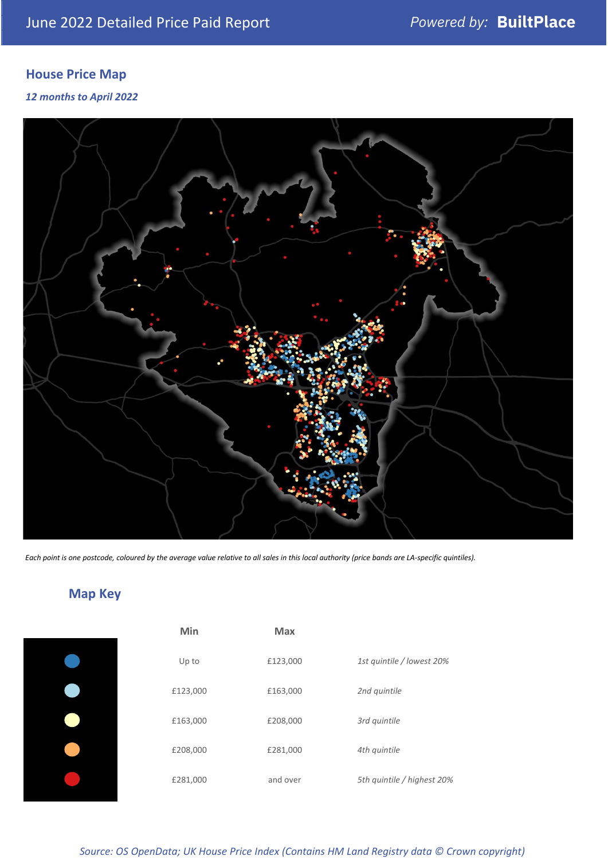## **House Price Map**

### *12 months to April 2022*



*Each point is one postcode, coloured by the average value relative to all sales in this local authority (price bands are LA-specific quintiles).*

## **Map Key**

| Min      | <b>Max</b> |                            |
|----------|------------|----------------------------|
| Up to    | £123,000   | 1st quintile / lowest 20%  |
| £123,000 | £163,000   | 2nd quintile               |
| £163,000 | £208,000   | 3rd quintile               |
| £208,000 | £281,000   | 4th quintile               |
| £281,000 | and over   | 5th quintile / highest 20% |

## *Source: OS OpenData; UK House Price Index (Contains HM Land Registry data © Crown copyright)*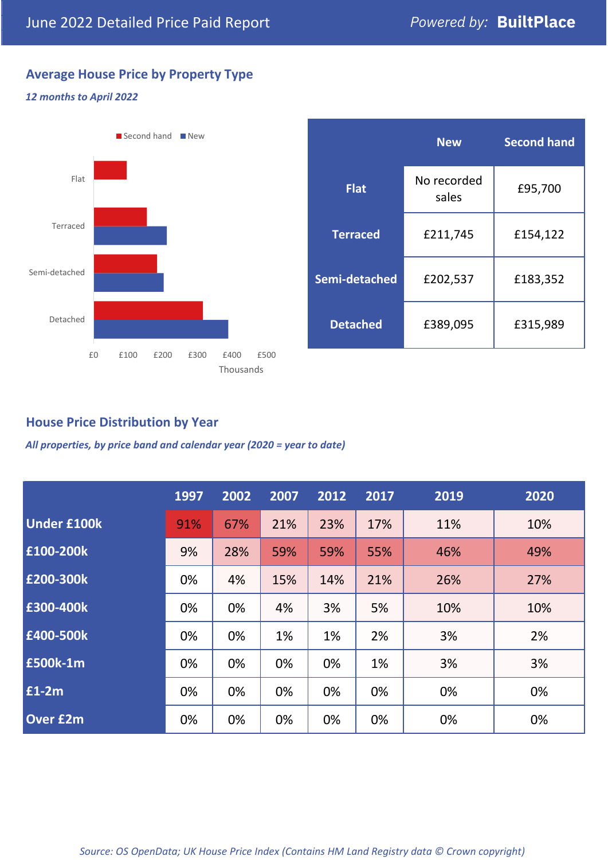## **Average House Price by Property Type**

### *12 months to April 2022*



|                 | <b>New</b>           | <b>Second hand</b> |  |  |
|-----------------|----------------------|--------------------|--|--|
| <b>Flat</b>     | No recorded<br>sales | £95,700            |  |  |
| <b>Terraced</b> | £211,745             | £154,122           |  |  |
| Semi-detached   | £202,537             | £183,352           |  |  |
| <b>Detached</b> | £389,095             | £315,989           |  |  |

## **House Price Distribution by Year**

*All properties, by price band and calendar year (2020 = year to date)*

|                    | 1997 | 2002 | 2007 | 2012 | 2017 | 2019 | 2020 |
|--------------------|------|------|------|------|------|------|------|
| <b>Under £100k</b> | 91%  | 67%  | 21%  | 23%  | 17%  | 11%  | 10%  |
| £100-200k          | 9%   | 28%  | 59%  | 59%  | 55%  | 46%  | 49%  |
| E200-300k          | 0%   | 4%   | 15%  | 14%  | 21%  | 26%  | 27%  |
| £300-400k          | 0%   | 0%   | 4%   | 3%   | 5%   | 10%  | 10%  |
| £400-500k          | 0%   | 0%   | 1%   | 1%   | 2%   | 3%   | 2%   |
| <b>£500k-1m</b>    | 0%   | 0%   | 0%   | 0%   | 1%   | 3%   | 3%   |
| £1-2m              | 0%   | 0%   | 0%   | 0%   | 0%   | 0%   | 0%   |
| <b>Over £2m</b>    | 0%   | 0%   | 0%   | 0%   | 0%   | 0%   | 0%   |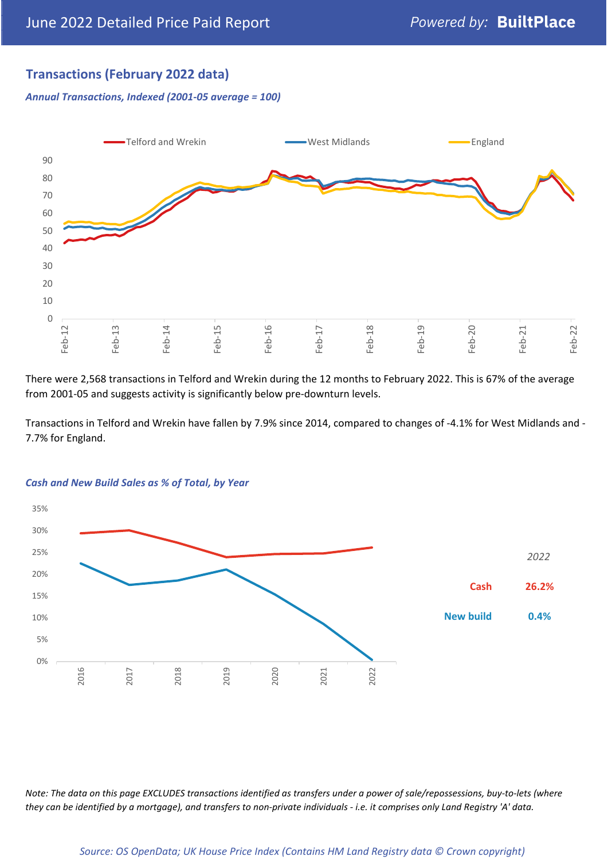## **Transactions (February 2022 data)**

*Annual Transactions, Indexed (2001-05 average = 100)*



There were 2,568 transactions in Telford and Wrekin during the 12 months to February 2022. This is 67% of the average from 2001-05 and suggests activity is significantly below pre-downturn levels.

Transactions in Telford and Wrekin have fallen by 7.9% since 2014, compared to changes of -4.1% for West Midlands and - 7.7% for England.



#### *Cash and New Build Sales as % of Total, by Year*

*Note: The data on this page EXCLUDES transactions identified as transfers under a power of sale/repossessions, buy-to-lets (where they can be identified by a mortgage), and transfers to non-private individuals - i.e. it comprises only Land Registry 'A' data.*